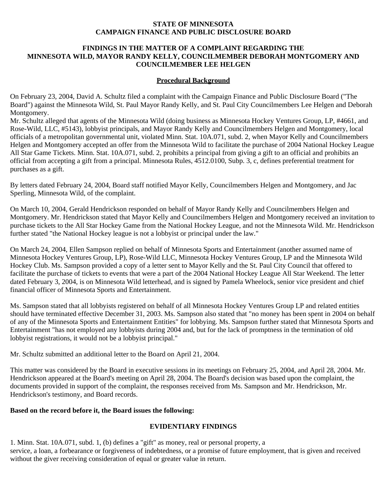#### **STATE OF MINNESOTA CAMPAIGN FINANCE AND PUBLIC DISCLOSURE BOARD**

### **FINDINGS IN THE MATTER OF A COMPLAINT REGARDING THE MINNESOTA WILD, MAYOR RANDY KELLY, COUNCILMEMBER DEBORAH MONTGOMERY AND COUNCILMEMBER LEE HELGEN**

### **Procedural Background**

On February 23, 2004, David A. Schultz filed a complaint with the Campaign Finance and Public Disclosure Board ("The Board") against the Minnesota Wild, St. Paul Mayor Randy Kelly, and St. Paul City Councilmembers Lee Helgen and Deborah Montgomery.

Mr. Schultz alleged that agents of the Minnesota Wild (doing business as Minnesota Hockey Ventures Group, LP, #4661, and Rose-Wild, LLC, #5143), lobbyist principals, and Mayor Randy Kelly and Councilmembers Helgen and Montgomery, local officials of a metropolitan governmental unit, violated Minn. Stat. 10A.071, subd. 2, when Mayor Kelly and Councilmembers Helgen and Montgomery accepted an offer from the Minnesota Wild to facilitate the purchase of 2004 National Hockey League All Star Game Tickets. Minn. Stat. 10A.071, subd. 2, prohibits a principal from giving a gift to an official and prohibits an official from accepting a gift from a principal. Minnesota Rules, 4512.0100, Subp. 3, c, defines preferential treatment for purchases as a gift.

By letters dated February 24, 2004, Board staff notified Mayor Kelly, Councilmembers Helgen and Montgomery, and Jac Sperling, Minnesota Wild, of the complaint.

On March 10, 2004, Gerald Hendrickson responded on behalf of Mayor Randy Kelly and Councilmembers Helgen and Montgomery. Mr. Hendrickson stated that Mayor Kelly and Councilmembers Helgen and Montgomery received an invitation to purchase tickets to the All Star Hockey Game from the National Hockey League, and not the Minnesota Wild. Mr. Hendrickson further stated "the National Hockey league is not a lobbyist or principal under the law."

On March 24, 2004, Ellen Sampson replied on behalf of Minnesota Sports and Entertainment (another assumed name of Minnesota Hockey Ventures Group, LP), Rose-Wild LLC, Minnesota Hockey Ventures Group, LP and the Minnesota Wild Hockey Club. Ms. Sampson provided a copy of a letter sent to Mayor Kelly and the St. Paul City Council that offered to facilitate the purchase of tickets to events that were a part of the 2004 National Hockey League All Star Weekend. The letter dated February 3, 2004, is on Minnesota Wild letterhead, and is signed by Pamela Wheelock, senior vice president and chief financial officer of Minnesota Sports and Entertainment.

Ms. Sampson stated that all lobbyists registered on behalf of all Minnesota Hockey Ventures Group LP and related entities should have terminated effective December 31, 2003. Ms. Sampson also stated that "no money has been spent in 2004 on behalf of any of the Minnesota Sports and Entertainment Entities" for lobbying. Ms. Sampson further stated that Minnesota Sports and Entertainment "has not employed any lobbyists during 2004 and, but for the lack of promptness in the termination of old lobbyist registrations, it would not be a lobbyist principal."

Mr. Schultz submitted an additional letter to the Board on April 21, 2004.

This matter was considered by the Board in executive sessions in its meetings on February 25, 2004, and April 28, 2004. Mr. Hendrickson appeared at the Board's meeting on April 28, 2004. The Board's decision was based upon the complaint, the documents provided in support of the complaint, the responses received from Ms. Sampson and Mr. Hendrickson, Mr. Hendrickson's testimony, and Board records.

#### **Based on the record before it, the Board issues the following:**

## **EVIDENTIARY FINDINGS**

1. Minn. Stat. 10A.071, subd. 1, (b) defines a "gift" as money, real or personal property, a service, a loan, a forbearance or forgiveness of indebtedness, or a promise of future employment, that is given and received without the giver receiving consideration of equal or greater value in return.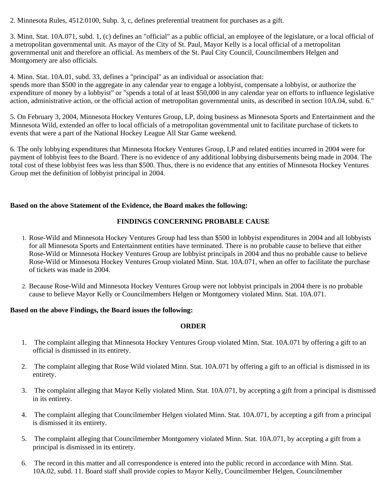2. Minnesota Rules, 4512.0100, Subp. 3, c, defines preferential treatment for purchases as a gift.

3. Minn. Stat. 10A.071, subd. 1, (c) defines an "official" as a public official, an employee of the legislature, or a local official of a metropolitan governmental unit. As mayor of the City of St. Paul, Mayor Kelly is a local official of a metropolitan governmental unit and therefore an official. As members of the St. Paul City Council, Councilmembers Helgen and Montgomery are also officials.

4. Minn. Stat. 10A.01, subd. 33, defines a "principal" as an individual or association that:

spends more than \$500 in the aggregate in any calendar year to engage a lobbyist, compensate a lobbyist, or authorize the expenditure of money by a lobbyist" or "spends a total of at least \$50,000 in any calendar year on efforts to influence legislative action, administrative action, or the official action of metropolitan governmental units, as described in section 10A.04, subd. 6."

5. On February 3, 2004, Minnesota Hockey Ventures Group, LP, doing business as Minnesota Sports and Entertainment and the Minnesota Wild, extended an offer to local officials of a metropolitan governmental unit to facilitate purchase of tickets to events that were a part of the National Hockey League All Star Game weekend.

6. The only lobbying expenditures that Minnesota Hockey Ventures Group, LP and related entities incurred in 2004 were for payment of lobbyist fees to the Board. There is no evidence of any additional lobbying disbursements being made in 2004. The total cost of these lobbyist fees was less than \$500. Thus, there is no evidence that any entities of Minnesota Hockey Ventures Group met the definition of lobbyist principal in 2004.

# **Based on the above Statement of the Evidence, the Board makes the following:**

# **FINDINGS CONCERNING PROBABLE CAUSE**

- 1. Rose-Wild and Minnesota Hockey Ventures Group had less than \$500 in lobbyist expenditures in 2004 and all lobbyists for all Minnesota Sports and Entertainment entities have terminated. There is no probable cause to believe that either Rose-Wild or Minnesota Hockey Ventures Group are lobbyist principals in 2004 and thus no probable cause to believe Rose-Wild or Minnesota Hockey Ventures Group violated Minn. Stat. 10A.071, when an offer to facilitate the purchase of tickets was made in 2004.
- 2. Because Rose-Wild and Minnesota Hockey Ventures Group were not lobbyist principals in 2004 there is no probable cause to believe Mayor Kelly or Councilmembers Helgen or Montgomery violated Minn. Stat. 10A.071.

## **Based on the above Findings, the Board issues the following:**

## **ORDER**

- 1. The complaint alleging that Minnesota Hockey Ventures Group violated Minn. Stat. 10A.071 by offering a gift to an official is dismissed in its entirety.
- 2. The complaint alleging that Rose Wild violated Minn. Stat. 10A.071 by offering a gift to an official is dismissed in its entirety.
- 3. The complaint alleging that Mayor Kelly violated Minn. Stat. 10A.071, by accepting a gift from a principal is dismissed in its entirety.
- 4. The complaint alleging that Councilmember Helgen violated Minn. Stat. 10A.071, by accepting a gift from a principal is dismissed it its entirety.
- 5. The complaint alleging that Councilmember Montgomery violated Minn. Stat. 10A.071, by accepting a gift from a principal is dismissed in its entirety.
- 6. The record in this matter and all correspondence is entered into the public record in accordance with Minn. Stat. 10A.02, subd. 11. Board staff shall provide copies to Mayor Kelly, Councilmember Helgen, Councilmember